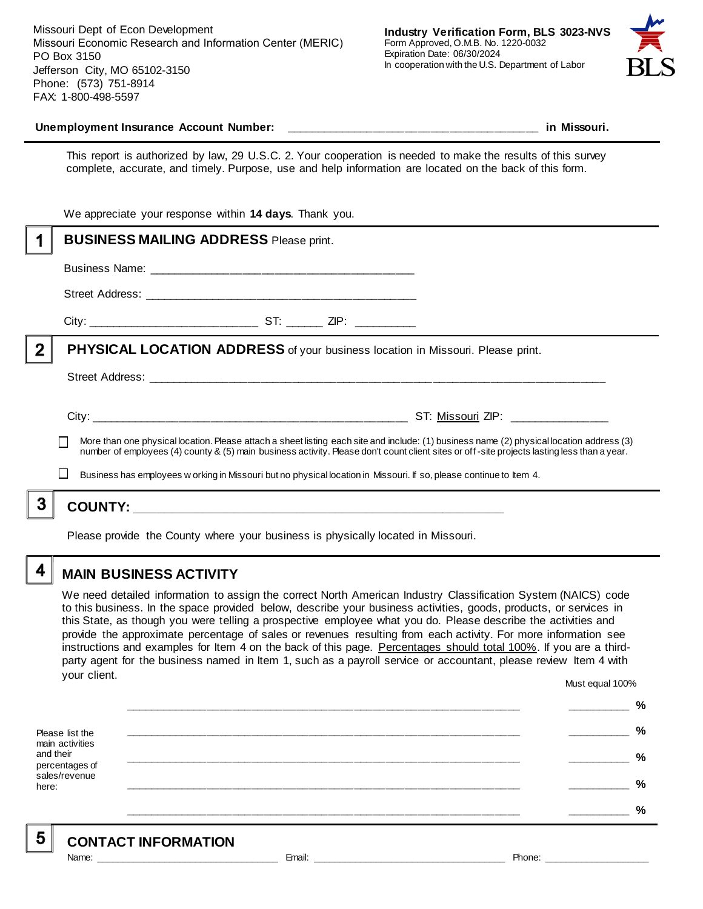Missouri Dept of Econ Development Missouri Economic Research and Information Center (MERIC) PO Box 3150 Jefferson City, MO 65102-3150 Phone: (573) 751-8914 FAX: 1-800-498-5597



#### **Unemployment Insurance Account Number: \_\_\_\_\_\_\_\_\_\_\_\_\_\_\_\_\_\_\_\_\_\_\_\_\_\_\_\_\_\_\_\_\_\_\_\_\_\_\_\_ in Missouri.**

This report is authorized by law, 29 U.S.C. 2. Your cooperation is needed to make the results of this survey complete, accurate, and timely. Purpose, use and help information are located on the back of this form.

|          | We appreciate your response within 14 days. Thank you.                                                                                                                                                                                                                                   |
|----------|------------------------------------------------------------------------------------------------------------------------------------------------------------------------------------------------------------------------------------------------------------------------------------------|
|          | <b>BUSINESS MAILING ADDRESS Please print.</b>                                                                                                                                                                                                                                            |
|          |                                                                                                                                                                                                                                                                                          |
|          |                                                                                                                                                                                                                                                                                          |
|          |                                                                                                                                                                                                                                                                                          |
| $\bf{2}$ | <b>PHYSICAL LOCATION ADDRESS</b> of your business location in Missouri. Please print.                                                                                                                                                                                                    |
|          |                                                                                                                                                                                                                                                                                          |
|          |                                                                                                                                                                                                                                                                                          |
|          | More than one physical location. Please attach a sheet listing each site and include: (1) business name (2) physical location address (3)<br>number of employees (4) county & (5) main business activity. Please don't count client sites or off-site projects lasting less than a year. |
|          | Business has employees w orking in Missouri but no physical location in Missouri. If so, please continue to Item 4.                                                                                                                                                                      |
|          |                                                                                                                                                                                                                                                                                          |
|          |                                                                                                                                                                                                                                                                                          |

Please provide the County where your business is physically located in Missouri.

4

5

### **MAIN BUSINESS ACTIVITY**

We need detailed information to assign the correct North American Industry Classification System (NAICS) code to this business. In the space provided below, describe your business activities, goods, products, or services in this State, as though you were telling a prospective employee what you do. Please describe the activities and provide the approximate percentage of sales or revenues resulting from each activity. For more information see instructions and examples for Item 4 on the back of this page. Percentages should total 100%. If you are a thirdparty agent for the business named in Item 1, such as a payroll service or accountant, please review Item 4 with your client. Must equal 100%

Please list the main activities and their percentages of sales/revenue here: **\_\_\_\_\_\_\_\_\_\_\_\_\_\_\_\_\_\_\_\_\_\_\_\_\_\_\_\_\_\_\_\_\_\_\_\_\_\_\_\_\_\_\_\_\_\_\_\_\_\_\_\_\_\_\_\_\_\_\_\_\_\_ \_\_\_\_\_\_\_\_\_\_ % \_\_\_\_\_\_\_\_\_\_\_\_\_\_\_\_\_\_\_\_\_\_\_\_\_\_\_\_\_\_\_\_\_\_\_\_\_\_\_\_\_\_\_\_\_\_\_\_\_\_\_\_\_\_\_\_\_\_\_\_\_\_ \_\_\_\_\_\_\_\_\_\_ % \_\_\_\_\_\_\_\_\_\_\_\_\_\_\_\_\_\_\_\_\_\_\_\_\_\_\_\_\_\_\_\_\_\_\_\_\_\_\_\_\_\_\_\_\_\_\_\_\_\_\_\_\_\_\_\_\_\_\_\_\_\_ \_\_\_\_\_\_\_\_\_\_ % \_\_\_\_\_\_\_\_\_\_\_\_\_\_\_\_\_\_\_\_\_\_\_\_\_\_\_\_\_\_\_\_\_\_\_\_\_\_\_\_\_\_\_\_\_\_\_\_\_\_\_\_\_\_\_\_\_\_\_\_\_\_ \_\_\_\_\_\_\_\_\_\_ % \_\_\_\_\_\_\_\_\_\_\_\_\_\_\_\_\_\_\_\_\_\_\_\_\_\_\_\_\_\_\_\_\_\_\_\_\_\_\_\_\_\_\_\_\_\_\_\_\_\_\_\_\_\_\_\_\_\_\_\_\_\_ \_\_\_\_\_\_\_\_\_\_ %**